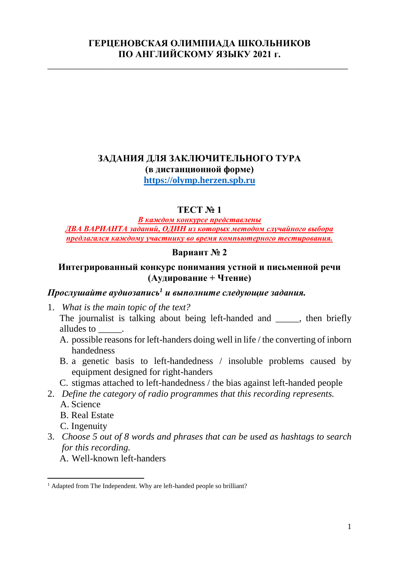#### **ГЕРЦЕНОВСКАЯ ОЛИМПИАДА ШКОЛЬНИКОВ ПО АНГЛИЙСКОМУ ЯЗЫКУ 2021 г.**

\_\_\_\_\_\_\_\_\_\_\_\_\_\_\_\_\_\_\_\_\_\_\_\_\_\_\_\_\_\_\_\_\_\_\_\_\_\_\_\_\_\_\_\_\_\_\_\_\_\_\_\_\_\_\_\_\_\_\_\_\_\_\_\_

# **ЗАДАНИЯ ДЛЯ ЗАКЛЮЧИТЕЛЬНОГО ТУРА (в дистанционной форме)**

**[https://olymp.herzen.spb.ru](https://olymp.herzen.spb.ru/)**

### **ТЕСТ № 1**

#### *В каждом конкурсе представлены ДВА ВАРИАНТА заданий, ОДИН из которых методом случайного выбора предлагался каждому участнику во время компьютерного тестирования.*

#### **Вариант № 2**

#### **Интегрированный конкурс понимания устной и письменной речи (Аудирование + Чтение)**

## *Прослушайте аудиозапись<sup>1</sup> и выполните следующие задания.*

1. *What is the main topic of the text?*

The journalist is talking about being left-handed and \_\_\_\_\_, then briefly alludes to  $\qquad$ .

- A. possible reasons for left-handers doing well in life / the converting of inborn handedness
- B. a genetic basis to left-handedness / insoluble problems caused by equipment designed for right-handers
- C. stigmas attached to left-handedness / the bias against left-handed people
- 2. *Define the category of radio programmes that this recording represents.* A. Science
	- B. Real Estate
	- C. Ingenuity
- 3. *Choose 5 out of 8 words and phrases that can be used as hashtags to search for this recording.*
	- A. Well-known left-handers

 $\overline{a}$ <sup>1</sup> Adapted from The Independent. Why are left-handed people so brilliant?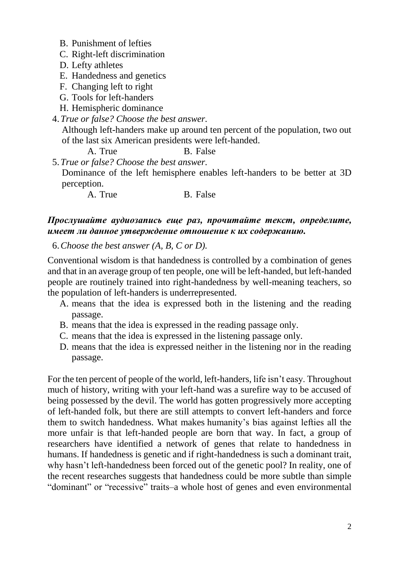- B. Punishment of lefties
- C. Right-left discrimination
- D. Lefty athletes
- E. Handedness and genetics
- F. Changing left to right
- G. Tools for left-handers
- H. Hemispheric dominance
- 4.*True or false? Choose the best answer.* Although left-handers make up around ten percent of the population, two out of the last six American presidents were left-handed. A. True B. False

5.*True or false? Choose the best answer.* Dominance of the left hemisphere enables left-handers to be better at 3D perception.

A. True B. False

### *Прослушайте аудиозапись еще раз, прочитайте текст, определите, имеет ли данное утверждение отношение к их содержанию.*

6.*Choose the best answer (A, B, C or D).*

Conventional wisdom is that handedness is controlled by a combination of genes and that in an average group of ten people, one will be left-handed, but left-handed people are routinely trained into right-handedness by well-meaning teachers, so the population of left-handers is underrepresented.

- A. means that the idea is expressed both in the listening and the reading passage.
- B. means that the idea is expressed in the reading passage only.
- C. means that the idea is expressed in the listening passage only.
- D. means that the idea is expressed neither in the listening nor in the reading passage.

For the ten percent of people of the world, left-handers, life isn't easy. Throughout much of history, writing with your left-hand was a surefire way to be accused of being possessed by the devil. The world has gotten progressively more accepting of left-handed folk, but there are still attempts to convert left-handers and force them to switch handedness. What makes humanity's bias against lefties all the more unfair is that left-handed people are born that way. In fact, a group of researchers have identified a network of genes that relate to handedness in humans. If handedness is genetic and if right-handedness is such a dominant trait, why hasn't left-handedness been forced out of the genetic pool? In reality, one of the recent researches suggests that handedness could be more subtle than simple "dominant" or "recessive" traits–a whole host of genes and even environmental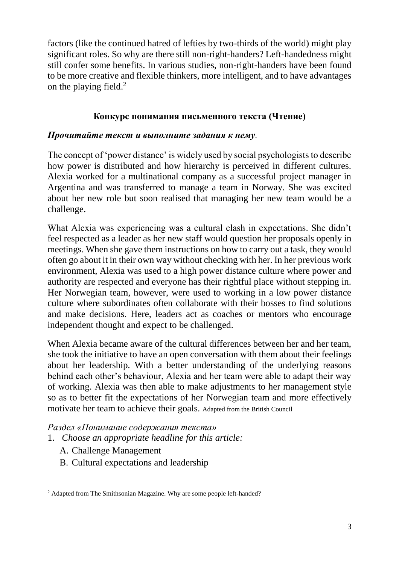factors (like the continued hatred of lefties by two-thirds of the world) might play significant roles. So why are there still non-right-handers? Left-handedness might still confer some benefits. In various studies, non-right-handers have been found to be more creative and flexible thinkers, more intelligent, and to have advantages on the playing field. $2^2$ 

### **Конкурс понимания письменного текста (Чтение)**

#### *Прочитайте текст и выполните задания к нему.*

The concept of 'power distance' is widely used by social psychologists to describe how power is distributed and how hierarchy is perceived in different cultures. Alexia worked for a multinational company as a successful project manager in Argentina and was transferred to manage a team in Norway. She was excited about her new role but soon realised that managing her new team would be a challenge.

What Alexia was experiencing was a cultural clash in expectations. She didn't feel respected as a leader as her new staff would question her proposals openly in meetings. When she gave them instructions on how to carry out a task, they would often go about it in their own way without checking with her. In her previous work environment, Alexia was used to a high power distance culture where power and authority are respected and everyone has their rightful place without stepping in. Her Norwegian team, however, were used to working in a low power distance culture where subordinates often collaborate with their bosses to find solutions and make decisions. Here, leaders act as coaches or mentors who encourage independent thought and expect to be challenged.

When Alexia became aware of the cultural differences between her and her team, she took the initiative to have an open conversation with them about their feelings about her leadership. With a better understanding of the underlying reasons behind each other's behaviour, Alexia and her team were able to adapt their way of working. Alexia was then able to make adjustments to her management style so as to better fit the expectations of her Norwegian team and more effectively motivate her team to achieve their goals. Adapted from the British Council

*Раздел «Понимание содержания текста»*

- 1. *Choose an appropriate headline for this article:*
	- A. Challenge Management
	- B. Cultural expectations and leadership

 $\overline{a}$ <sup>2</sup> Adapted from The Smithsonian Magazine. Why are some people left-handed?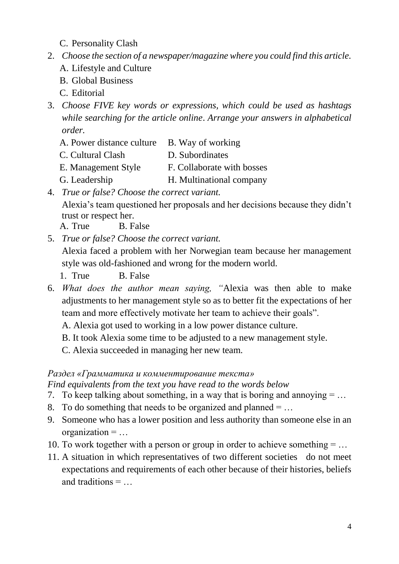- C. Personality Clash
- 2. *Choose the section of a newspaper/magazine where you could find this article.*
	- A. Lifestyle and Culture
	- B. Global Business
	- C. Editorial
- 3. *Choose FIVE key words or expressions, which could be used as hashtags while searching for the article online*. *Arrange your answers in alphabetical order.*
	- A. Power distance culture B. Way of working
	- C. Cultural Clash D. Subordinates
	- E. Management Style F. Collaborate with bosses
	- G. Leadership H. Multinational company
- 4. *True or false? Choose the correct variant.*

Alexia's team questioned her proposals and her decisions because they didn't trust or respect her.

- A. True B. False
- 5. *True or false? Choose the correct variant.*

Alexia faced a problem with her Norwegian team because her management style was old-fashioned and wrong for the modern world.

1. True B. False

- 6. *What does the author mean saying, "*Alexia was then able to make adjustments to her management style so as to better fit the expectations of her team and more effectively motivate her team to achieve their goals".
	- A. Alexia got used to working in a low power distance culture.
	- B. It took Alexia some time to be adjusted to a new management style.
	- C. Alexia succeeded in managing her new team.

### *Раздел «Грамматика и комментирование текста»*

*Find equivalents from the text you have read to the words below*

- 7. To keep talking about something, in a way that is boring and annoying  $= \dots$
- 8. To do something that needs to be organized and planned  $= \dots$
- 9. Someone who has a lower position and less authority than someone else in an organization  $= \dots$
- 10. To work together with a person or group in order to achieve something  $= \dots$
- 11. A situation in which representatives of two different societies do not meet expectations and requirements of each other because of their histories, beliefs and traditions = …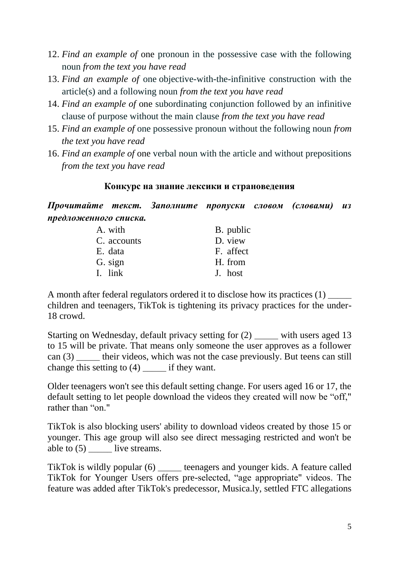- 12. *Find an example of* one pronoun in the possessive case with the following noun *from the text you have read*
- 13. *Find an example of* one objective-with-the-infinitive construction with the article(s) and a following noun *from the text you have read*
- 14. *Find an example of* one subordinating conjunction followed by an infinitive clause of purpose without the main clause *from the text you have read*
- 15. *Find an example of* one possessive pronoun without the following noun *from the text you have read*
- 16. *Find an example of* one verbal noun with the article and without prepositions *from the text you have read*

#### **Конкурс на знание лексики и страноведения**

*Прочитайте текст. Заполните пропуски словом (словами) из предложенного списка.*

| A. with     | B. public |
|-------------|-----------|
| C. accounts | D. view   |
| E. data     | F. affect |
| G. sign     | H. from   |
| I. link     | J. host   |

A month after federal regulators ordered it to disclose how its practices (1) \_\_\_\_\_ children and teenagers, TikTok is tightening its privacy practices for the under-18 crowd.

Starting on Wednesday, default privacy setting for (2) \_\_\_\_\_ with users aged 13 to 15 will be private. That means only someone the user approves as a follower can (3) \_\_\_\_\_ their videos, which was not the case previously. But teens can still change this setting to (4) \_\_\_\_\_ if they want.

Older teenagers won't see this default setting change. For users aged 16 or 17, the default setting to let people download the videos they created will now be "off," rather than "on."

TikTok is also blocking users' ability to download videos created by those 15 or younger. This age group will also see direct messaging restricted and won't be able to (5) live streams.

TikTok is wildly popular (6) teenagers and younger kids. A feature called TikTok for Younger Users offers pre-selected, "age appropriate" videos. The feature was added after TikTok's predecessor, Musica.ly, settled FTC allegations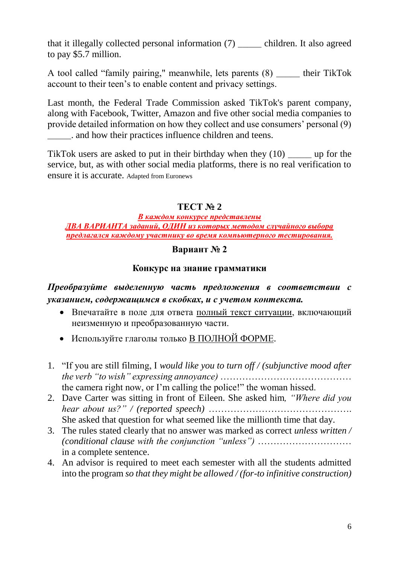that it illegally collected personal information (7) \_\_\_\_\_ children. It also agreed to pay \$5.7 million.

A tool called "family pairing," meanwhile, lets parents (8) \_\_\_\_\_ their TikTok account to their teen's to enable content and privacy settings.

Last month, the Federal Trade Commission asked TikTok's parent company, along with Facebook, Twitter, Amazon and five other social media companies to provide detailed information on how they collect and use consumers' personal (9) \_\_\_\_\_. and how their practices influence children and teens.

TikTok users are asked to put in their birthday when they (10) \_\_\_\_\_ up for the service, but, as with other social media platforms, there is no real verification to ensure it is accurate. Adapted from Euronews

## **ТЕСТ № 2**

*В каждом конкурсе представлены ДВА ВАРИАНТА заданий, ОДИН из которых методом случайного выбора предлагался каждому участнику во время компьютерного тестирования.*

### **Вариант № 2**

#### **Конкурс на знание грамматики**

## *Преобразуйте выделенную часть предложения в соответствии с указанием, содержащимся в скобках, и с учетом контекста.*

- Впечатайте в поле для ответа полный текст ситуации, включающий неизменную и преобразованную части.
- Используйте глаголы только В ПОЛНОЙ ФОРМЕ.
- 1. "If you are still filming, I *would like you to turn off / (subjunctive mood after the verb "to wish" expressing annoyance)* …………………………………… the camera right now, or I'm calling the police!" the woman hissed.
- 2. Dave Carter was sitting in front of Eileen. She asked him*, "Where did you hear about us?" / (reported speech)* ………………………………………. She asked that question for what seemed like the millionth time that day.
- 3. The rules stated clearly that no answer was marked as correct *unless written / (conditional clause with the conjunction "unless")* ………………………… in a complete sentence.
- 4. An advisor is required to meet each semester with all the students admitted into the program *so that they might be allowed / (for-to infinitive construction)*